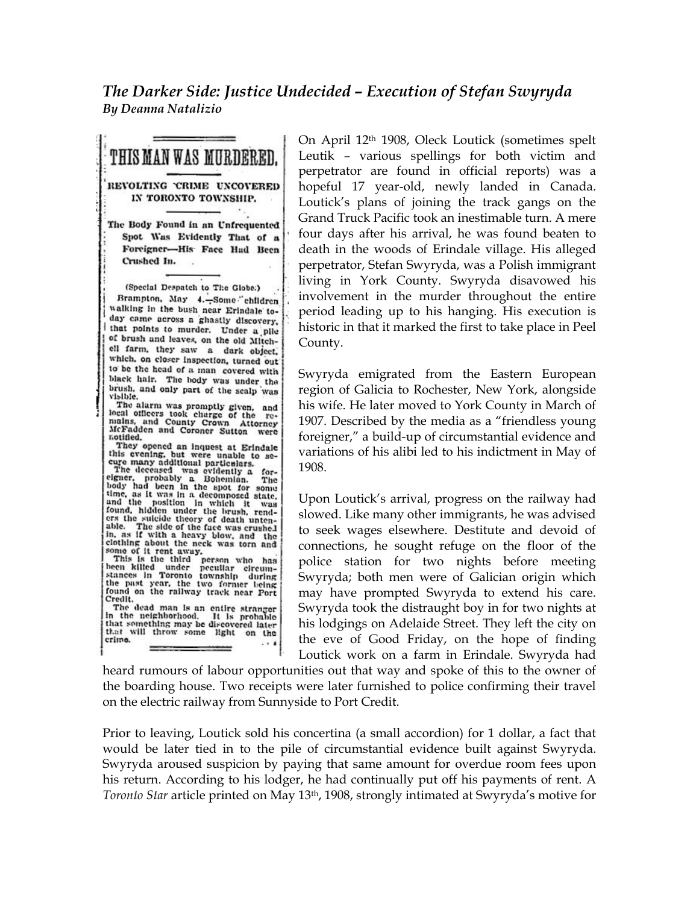*The Darker Side: Justice Undecided – Execution of Stefan Swyryda By Deanna Natalizio*

THIS MAN WAS MURDERED. REVOLTING CRIME UNCOVERED IN TORONTO TOWNSHIP. The Body Found in an Unfrequented Spot Was Evidently That of a Foreigner-His Face Had Been Crushed In. (Special Despatch to The Globe.) Brampton, May 4.-Some ehildren walking in the bush near Erindale today came across a ghastly discovery, that points to murder. Under a pile of brush and leaves, on the old Mitchell farm, they saw a dark object. which, on closer inspection, turned out to be the head of a man covered with black hair. The body was under the brush, and only part of the scalp was visible. vising.<br>The alarm was promptly given, and<br>local officers took charge of the re-<br>mains, and County Crown Attorney<br>McFadden and Coroner Sutton were notified. They opened an inquest at Erindale this evening, but were unable to se-<br>cure many additional particulars. eage many additional particulars.<br>The decased was evidently a for-<br>eigner, probably a Bohemian. The<br>body had been in the spot for some<br>time, as it was in a decomposed state,<br>and the bosition in which it. time, as it was in a decomposed state, and the position in which it was found, hidden under the brush, render for the state of the state. The side of the face was crushed in, as if with a heavy blow, and the state of the f Credit. The dead man is an entire stranger<br>in the neighborhood. It is probable<br>that semething may be discovered later that will throw some light on the crimo.

On April 12th 1908, Oleck Loutick (sometimes spelt Leutik – various spellings for both victim and perpetrator are found in official reports) was a hopeful 17 year-old, newly landed in Canada. Loutick's plans of joining the track gangs on the Grand Truck Pacific took an inestimable turn. A mere four days after his arrival, he was found beaten to death in the woods of Erindale village. His alleged perpetrator, Stefan Swyryda, was a Polish immigrant living in York County. Swyryda disavowed his involvement in the murder throughout the entire period leading up to his hanging. His execution is historic in that it marked the first to take place in Peel County.

Swyryda emigrated from the Eastern European region of Galicia to Rochester, New York, alongside his wife. He later moved to York County in March of 1907. Described by the media as a "friendless young foreigner," a build-up of circumstantial evidence and variations of his alibi led to his indictment in May of 1908.

Upon Loutick's arrival, progress on the railway had slowed. Like many other immigrants, he was advised to seek wages elsewhere. Destitute and devoid of connections, he sought refuge on the floor of the police station for two nights before meeting Swyryda; both men were of Galician origin which may have prompted Swyryda to extend his care. Swyryda took the distraught boy in for two nights at his lodgings on Adelaide Street. They left the city on the eve of Good Friday, on the hope of finding Loutick work on a farm in Erindale. Swyryda had

heard rumours of labour opportunities out that way and spoke of this to the owner of the boarding house. Two receipts were later furnished to police confirming their travel on the electric railway from Sunnyside to Port Credit.

Prior to leaving, Loutick sold his concertina (a small accordion) for 1 dollar, a fact that would be later tied in to the pile of circumstantial evidence built against Swyryda. Swyryda aroused suspicion by paying that same amount for overdue room fees upon his return. According to his lodger, he had continually put off his payments of rent. A *Toronto Star* article printed on May 13th, 1908, strongly intimated at Swyryda's motive for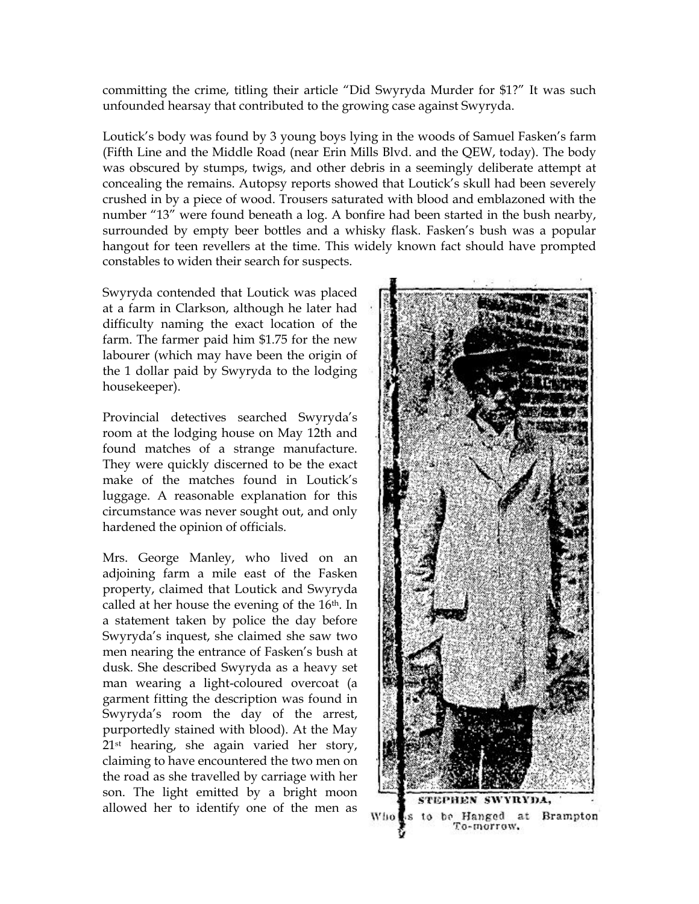committing the crime, titling their article "Did Swyryda Murder for \$1?" It was such unfounded hearsay that contributed to the growing case against Swyryda.

Loutick's body was found by 3 young boys lying in the woods of Samuel Fasken's farm (Fifth Line and the Middle Road (near Erin Mills Blvd. and the QEW, today). The body was obscured by stumps, twigs, and other debris in a seemingly deliberate attempt at concealing the remains. Autopsy reports showed that Loutick's skull had been severely crushed in by a piece of wood. Trousers saturated with blood and emblazoned with the number "13" were found beneath a log. A bonfire had been started in the bush nearby, surrounded by empty beer bottles and a whisky flask. Fasken's bush was a popular hangout for teen revellers at the time. This widely known fact should have prompted constables to widen their search for suspects.

Swyryda contended that Loutick was placed at a farm in Clarkson, although he later had difficulty naming the exact location of the farm. The farmer paid him \$1.75 for the new labourer (which may have been the origin of the 1 dollar paid by Swyryda to the lodging housekeeper).

Provincial detectives searched Swyryda's room at the lodging house on May 12th and found matches of a strange manufacture. They were quickly discerned to be the exact make of the matches found in Loutick's luggage. A reasonable explanation for this circumstance was never sought out, and only hardened the opinion of officials.

Mrs. George Manley, who lived on an adjoining farm a mile east of the Fasken property, claimed that Loutick and Swyryda called at her house the evening of the 16<sup>th</sup>. In a statement taken by police the day before Swyryda's inquest, she claimed she saw two men nearing the entrance of Fasken's bush at dusk. She described Swyryda as a heavy set man wearing a light-coloured overcoat (a garment fitting the description was found in Swyryda's room the day of the arrest, purportedly stained with blood). At the May 21st hearing, she again varied her story, claiming to have encountered the two men on the road as she travelled by carriage with her son. The light emitted by a bright moon allowed her to identify one of the men as

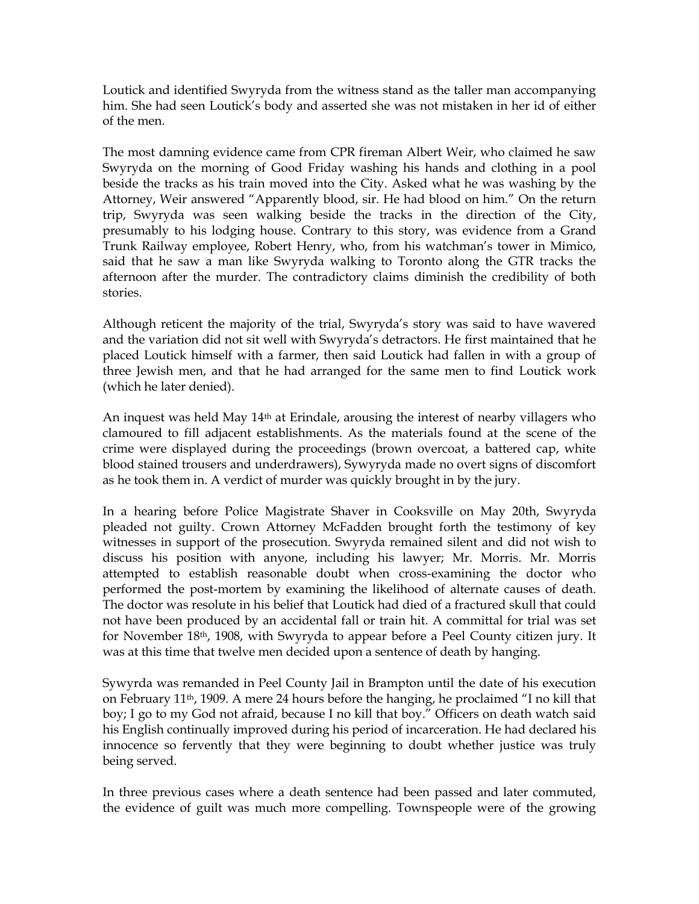Loutick and identified Swyryda from the witness stand as the taller man accompanying him. She had seen Loutick's body and asserted she was not mistaken in her id of either of the men.

The most damning evidence came from CPR fireman Albert Weir, who claimed he saw Swyryda on the morning of Good Friday washing his hands and clothing in a pool beside the tracks as his train moved into the City. Asked what he was washing by the Attorney, Weir answered "Apparently blood, sir. He had blood on him." On the return trip, Swyryda was seen walking beside the tracks in the direction of the City, presumably to his lodging house. Contrary to this story, was evidence from a Grand Trunk Railway employee, Robert Henry, who, from his watchman's tower in Mimico, said that he saw a man like Swyryda walking to Toronto along the GTR tracks the afternoon after the murder. The contradictory claims diminish the credibility of both stories.

Although reticent the majority of the trial, Swyryda's story was said to have wavered and the variation did not sit well with Swyryda's detractors. He first maintained that he placed Loutick himself with a farmer, then said Loutick had fallen in with a group of three Jewish men, and that he had arranged for the same men to find Loutick work (which he later denied).

An inquest was held May 14th at Erindale, arousing the interest of nearby villagers who clamoured to fill adjacent establishments. As the materials found at the scene of the crime were displayed during the proceedings (brown overcoat, a battered cap, white blood stained trousers and underdrawers), Sywyryda made no overt signs of discomfort as he took them in. A verdict of murder was quickly brought in by the jury.

In a hearing before Police Magistrate Shaver in Cooksville on May 20th, Swyryda pleaded not guilty. Crown Attorney McFadden brought forth the testimony of key witnesses in support of the prosecution. Swyryda remained silent and did not wish to discuss his position with anyone, including his lawyer; Mr. Morris. Mr. Morris attempted to establish reasonable doubt when cross-examining the doctor who performed the post-mortem by examining the likelihood of alternate causes of death. The doctor was resolute in his belief that Loutick had died of a fractured skull that could not have been produced by an accidental fall or train hit. A committal for trial was set for November 18th, 1908, with Swyryda to appear before a Peel County citizen jury. It was at this time that twelve men decided upon a sentence of death by hanging.

Sywyrda was remanded in Peel County Jail in Brampton until the date of his execution on February 11th, 1909. A mere 24 hours before the hanging, he proclaimed "I no kill that boy; I go to my God not afraid, because I no kill that boy." Officers on death watch said his English continually improved during his period of incarceration. He had declared his innocence so fervently that they were beginning to doubt whether justice was truly being served.

In three previous cases where a death sentence had been passed and later commuted, the evidence of guilt was much more compelling. Townspeople were of the growing